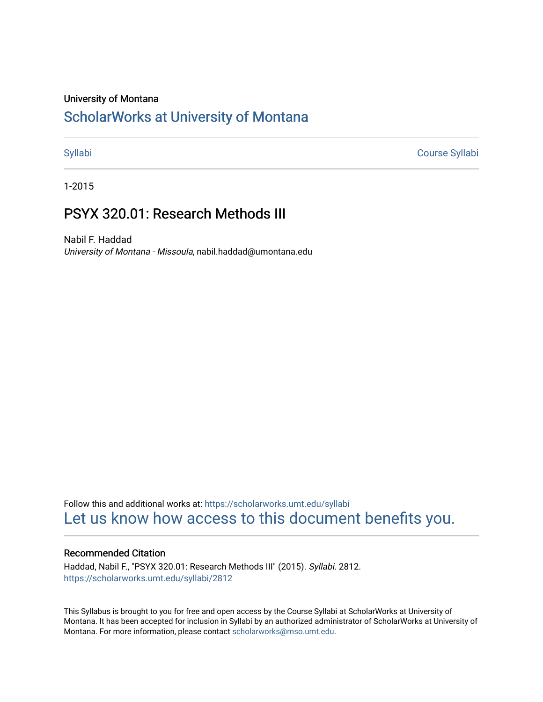#### University of Montana

# [ScholarWorks at University of Montana](https://scholarworks.umt.edu/)

[Syllabi](https://scholarworks.umt.edu/syllabi) [Course Syllabi](https://scholarworks.umt.edu/course_syllabi) 

1-2015

# PSYX 320.01: Research Methods III

Nabil F. Haddad University of Montana - Missoula, nabil.haddad@umontana.edu

Follow this and additional works at: [https://scholarworks.umt.edu/syllabi](https://scholarworks.umt.edu/syllabi?utm_source=scholarworks.umt.edu%2Fsyllabi%2F2812&utm_medium=PDF&utm_campaign=PDFCoverPages)  [Let us know how access to this document benefits you.](https://goo.gl/forms/s2rGfXOLzz71qgsB2) 

### Recommended Citation

Haddad, Nabil F., "PSYX 320.01: Research Methods III" (2015). Syllabi. 2812. [https://scholarworks.umt.edu/syllabi/2812](https://scholarworks.umt.edu/syllabi/2812?utm_source=scholarworks.umt.edu%2Fsyllabi%2F2812&utm_medium=PDF&utm_campaign=PDFCoverPages)

This Syllabus is brought to you for free and open access by the Course Syllabi at ScholarWorks at University of Montana. It has been accepted for inclusion in Syllabi by an authorized administrator of ScholarWorks at University of Montana. For more information, please contact [scholarworks@mso.umt.edu.](mailto:scholarworks@mso.umt.edu)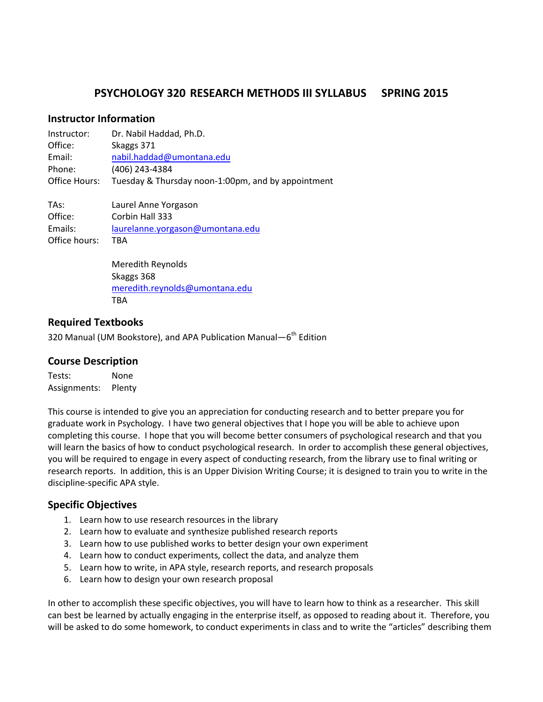# **PSYCHOLOGY 320 RESEARCH METHODS III SYLLABUS SPRING 2015**

# **Instructor Information**

| Instructor:   | Dr. Nabil Haddad, Ph.D.                            |
|---------------|----------------------------------------------------|
| Office:       | Skaggs 371                                         |
| Email:        | nabil.haddad@umontana.edu                          |
| Phone:        | (406) 243-4384                                     |
| Office Hours: | Tuesday & Thursday noon-1:00pm, and by appointment |
| TAs:          | Laurel Anne Yorgason                               |
| Office:       | Corbin Hall 333                                    |
| Emails:       | laurelanne.yorgason@umontana.edu                   |
| Office hours: | ТВА                                                |

Meredith Reynolds Skaggs 368 [meredith.reynolds@umontana.edu](mailto:meredith.reynolds@umontana.edu) **TRA** 

# **Required Textbooks**

320 Manual (UM Bookstore), and APA Publication Manual-6<sup>th</sup> Edition

### **Course Description**

Tests: None Assignments: Plenty

This course is intended to give you an appreciation for conducting research and to better prepare you for graduate work in Psychology. I have two general objectives that I hope you will be able to achieve upon completing this course. I hope that you will become better consumers of psychological research and that you will learn the basics of how to conduct psychological research. In order to accomplish these general objectives, you will be required to engage in every aspect of conducting research, from the library use to final writing or research reports. In addition, this is an Upper Division Writing Course; it is designed to train you to write in the discipline-specific APA style.

# **Specific Objectives**

- 1. Learn how to use research resources in the library
- 2. Learn how to evaluate and synthesize published research reports
- 3. Learn how to use published works to better design your own experiment
- 4. Learn how to conduct experiments, collect the data, and analyze them
- 5. Learn how to write, in APA style, research reports, and research proposals
- 6. Learn how to design your own research proposal

In other to accomplish these specific objectives, you will have to learn how to think as a researcher. This skill can best be learned by actually engaging in the enterprise itself, as opposed to reading about it. Therefore, you will be asked to do some homework, to conduct experiments in class and to write the "articles" describing them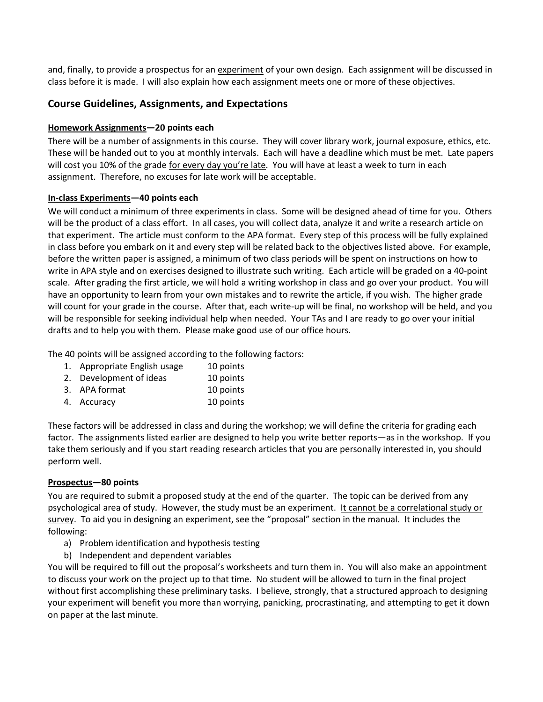and, finally, to provide a prospectus for an experiment of your own design. Each assignment will be discussed in class before it is made. I will also explain how each assignment meets one or more of these objectives.

# **Course Guidelines, Assignments, and Expectations**

#### **Homework Assignments—20 points each**

There will be a number of assignments in this course. They will cover library work, journal exposure, ethics, etc. These will be handed out to you at monthly intervals. Each will have a deadline which must be met. Late papers will cost you 10% of the grade for every day you're late. You will have at least a week to turn in each assignment. Therefore, no excuses for late work will be acceptable.

#### **In-class Experiments—40 points each**

We will conduct a minimum of three experiments in class. Some will be designed ahead of time for you. Others will be the product of a class effort. In all cases, you will collect data, analyze it and write a research article on that experiment. The article must conform to the APA format. Every step of this process will be fully explained in class before you embark on it and every step will be related back to the objectives listed above. For example, before the written paper is assigned, a minimum of two class periods will be spent on instructions on how to write in APA style and on exercises designed to illustrate such writing. Each article will be graded on a 40-point scale. After grading the first article, we will hold a writing workshop in class and go over your product. You will have an opportunity to learn from your own mistakes and to rewrite the article, if you wish. The higher grade will count for your grade in the course. After that, each write-up will be final, no workshop will be held, and you will be responsible for seeking individual help when needed. Your TAs and I are ready to go over your initial drafts and to help you with them. Please make good use of our office hours.

The 40 points will be assigned according to the following factors:

- 1. Appropriate English usage 10 points
- 2. Development of ideas 10 points
- 3. APA format 10 points
- 4. Accuracy 10 points

These factors will be addressed in class and during the workshop; we will define the criteria for grading each factor. The assignments listed earlier are designed to help you write better reports—as in the workshop. If you take them seriously and if you start reading research articles that you are personally interested in, you should perform well.

#### **Prospectus—80 points**

You are required to submit a proposed study at the end of the quarter. The topic can be derived from any psychological area of study. However, the study must be an experiment. It cannot be a correlational study or survey. To aid you in designing an experiment, see the "proposal" section in the manual. It includes the following:

- a) Problem identification and hypothesis testing
- b) Independent and dependent variables

You will be required to fill out the proposal's worksheets and turn them in. You will also make an appointment to discuss your work on the project up to that time. No student will be allowed to turn in the final project without first accomplishing these preliminary tasks. I believe, strongly, that a structured approach to designing your experiment will benefit you more than worrying, panicking, procrastinating, and attempting to get it down on paper at the last minute.